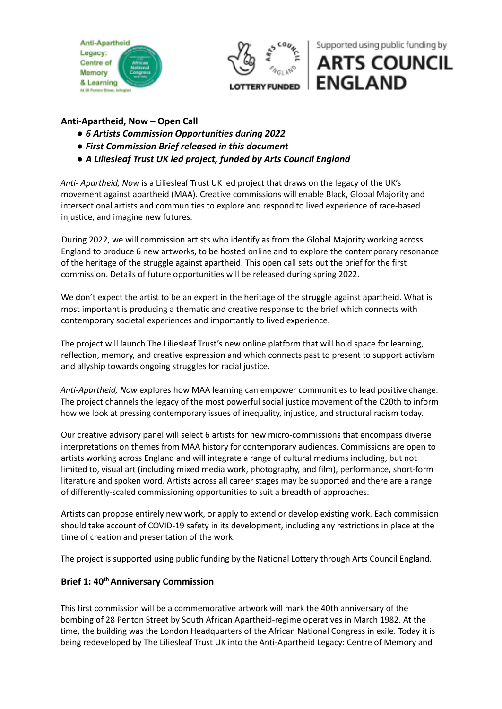



Supported using public funding by

# **ARTS COUNCIL ENGLAND**

# **Anti-Apartheid, Now – Open Call**

- *● 6 Artists Commission Opportunities during 2022*
- *● First Commission Brief released in this document*
- *● A Liliesleaf Trust UK led project, funded by Arts Council England*

*Anti- Apartheid, Now* is a Liliesleaf Trust UK led project that draws on the legacy of the UK's movement against apartheid (MAA). Creative commissions will enable Black, Global Majority and intersectional artists and communities to explore and respond to lived experience of race-based injustice, and imagine new futures.

During 2022, we will commission artists who identify as from the Global Majority working across England to produce 6 new artworks, to be hosted online and to explore the contemporary resonance of the heritage of the struggle against apartheid. This open call sets out the brief for the first commission. Details of future opportunities will be released during spring 2022.

We don't expect the artist to be an expert in the heritage of the struggle against apartheid. What is most important is producing a thematic and creative response to the brief which connects with contemporary societal experiences and importantly to lived experience.

The project will launch The Liliesleaf Trust's new online platform that will hold space for learning, reflection, memory, and creative expression and which connects past to present to support activism and allyship towards ongoing struggles for racial justice.

*Anti-Apartheid, Now* explores how MAA learning can empower communities to lead positive change. The project channels the legacy of the most powerful social justice movement of the C20th to inform how we look at pressing contemporary issues of inequality, injustice, and structural racism today.

Our creative advisory panel will select 6 artists for new micro-commissions that encompass diverse interpretations on themes from MAA history for contemporary audiences. Commissions are open to artists working across England and will integrate a range of cultural mediums including, but not limited to, visual art (including mixed media work, photography, and film), performance, short-form literature and spoken word. Artists across all career stages may be supported and there are a range of differently-scaled commissioning opportunities to suit a breadth of approaches.

Artists can propose entirely new work, or apply to extend or develop existing work. Each commission should take account of COVID-19 safety in its development, including any restrictions in place at the time of creation and presentation of the work.

The project is supported using public funding by the National Lottery through Arts Council England.

## **Brief 1: 40thAnniversary Commission**

This first commission will be a commemorative artwork will mark the 40th anniversary of the bombing of 28 Penton Street by South African Apartheid-regime operatives in March 1982. At the time, the building was the London Headquarters of the African National Congress in exile. Today it is being redeveloped by The Liliesleaf Trust UK into the Anti-Apartheid Legacy: Centre of Memory and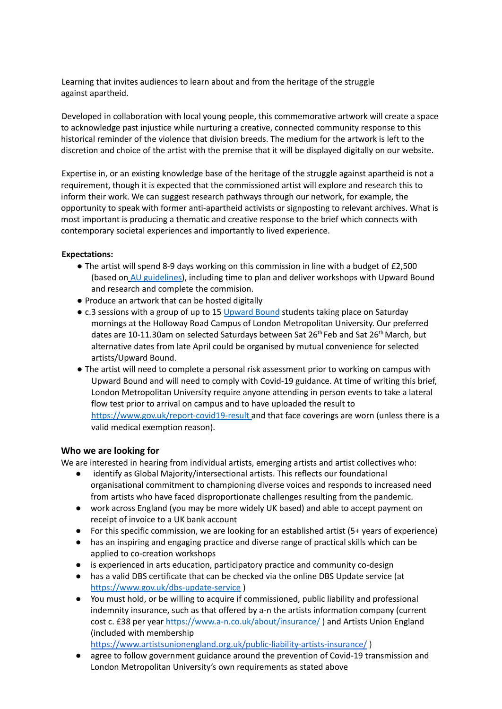Learning that invites audiences to learn about and from the heritage of the struggle against apartheid.

Developed in collaboration with local young people, this commemorative artwork will create a space to acknowledge past injustice while nurturing a creative, connected community response to this historical reminder of the violence that division breeds. The medium for the artwork is left to the discretion and choice of the artist with the premise that it will be displayed digitally on our website.

Expertise in, or an existing knowledge base of the heritage of the struggle against apartheid is not a requirement, though it is expected that the commissioned artist will explore and research this to inform their work. We can suggest research pathways through our network, for example, the opportunity to speak with former anti-apartheid activists or signposting to relevant archives. What is most important is producing a thematic and creative response to the brief which connects with contemporary societal experiences and importantly to lived experience.

#### **Expectations:**

- The artist will spend 8-9 days working on this commission in line with a budget of £2,500 (based on AU guidelines), including time to plan and deliver workshops with Upward Bound and research and complete the commision.
- Produce an artwork that can be hosted digitally
- c.3 sessions with a group of up to 15 Upward Bound students taking place on Saturday mornings at the Holloway Road Campus of London Metropolitan University. Our preferred dates are 10-11.30am on selected Saturdays between Sat 26<sup>th</sup> Feb and Sat 26<sup>th</sup> March, but alternative dates from late April could be organised by mutual convenience for selected artists/Upward Bound.
- The artist will need to complete a personal risk assessment prior to working on campus with Upward Bound and will need to comply with Covid-19 guidance. At time of writing this brief, London Metropolitan University require anyone attending in person events to take a lateral flow test prior to arrival on campus and to have uploaded the result to https://www.gov.uk/report-covid19-result and that face coverings are worn (unless there is a valid medical exemption reason).

#### **Who we are looking for**

We are interested in hearing from individual artists, emerging artists and artist collectives who:

- identify as Global Majority/intersectional artists. This reflects our foundational organisational commitment to championing diverse voices and responds to increased need from artists who have faced disproportionate challenges resulting from the pandemic.
- work across England (you may be more widely UK based) and able to accept payment on receipt of invoice to a UK bank account
- For this specific commission, we are looking for an established artist (5+ years of experience)
- has an inspiring and engaging practice and diverse range of practical skills which can be applied to co-creation workshops
- is experienced in arts education, participatory practice and community co-design
- has a valid DBS certificate that can be checked via the online DBS Update service (at https://www.gov.uk/dbs-update-service )
- You must hold, or be willing to acquire if commissioned, public liability and professional indemnity insurance, such as that offered by a-n the artists information company (current cost c. £38 per year https://www.a-n.co.uk/about/insurance/ ) and Artists Union England (included with membership

<https://www.artistsunionengland.org.uk/public-liability-artists-insurance/> )

● agree to follow government guidance around the prevention of Covid-19 transmission and London Metropolitan University's own requirements as stated above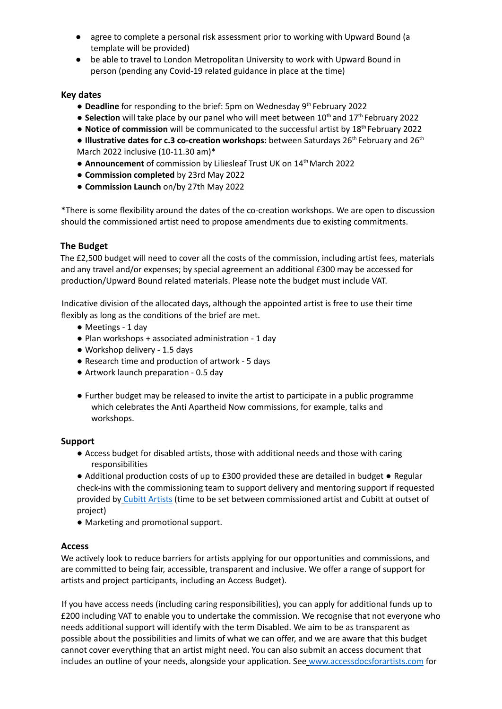- agree to complete a personal risk assessment prior to working with Upward Bound (a template will be provided)
- be able to travel to London Metropolitan University to work with Upward Bound in person (pending any Covid-19 related guidance in place at the time)

#### **Key dates**

- Deadline for responding to the brief: 5pm on Wednesday 9<sup>th</sup> February 2022
- Selection will take place by our panel who will meet between 10<sup>th</sup> and 17<sup>th</sup> February 2022
- **Notice of commission** will be communicated to the successful artist by 18<sup>th</sup> February 2022

**● Illustrative dates for c.3 co-creation workshops:** between Saturdays 26 th February and 26 th March 2022 inclusive (10-11.30 am)\*

- **Announcement** of commission by Liliesleaf Trust UK on 14<sup>th</sup> March 2022
- **● Commission completed** by 23rd May 2022
- **● Commission Launch** on/by 27th May 2022

\*There is some flexibility around the dates of the co-creation workshops. We are open to discussion should the commissioned artist need to propose amendments due to existing commitments.

#### **The Budget**

The £2,500 budget will need to cover all the costs of the commission, including artist fees, materials and any travel and/or expenses; by special agreement an additional £300 may be accessed for production/Upward Bound related materials. Please note the budget must include VAT.

Indicative division of the allocated days, although the appointed artist is free to use their time flexibly as long as the conditions of the brief are met.

- Meetings 1 day
- Plan workshops + associated administration 1 day
- Workshop delivery 1.5 days
- Research time and production of artwork 5 days
- Artwork launch preparation 0.5 day
- Further budget may be released to invite the artist to participate in a public programme which celebrates the Anti Apartheid Now commissions, for example, talks and workshops.

#### **Support**

- Access budget for disabled artists, those with additional needs and those with caring responsibilities
- Additional production costs of up to £300 provided these are detailed in budget Regular check-ins with the commissioning team to support delivery and mentoring support if requested provided by Cubitt Artists (time to be set between commissioned artist and Cubitt at outset of project)
- Marketing and promotional support.

#### **Access**

We actively look to reduce barriers for artists applying for our opportunities and commissions, and are committed to being fair, accessible, transparent and inclusive. We offer a range of support for artists and project participants, including an Access Budget).

If you have access needs (including caring responsibilities), you can apply for additional funds up to £200 including VAT to enable you to undertake the commission. We recognise that not everyone who needs additional support will identify with the term Disabled. We aim to be as transparent as possible about the possibilities and limits of what we can offer, and we are aware that this budget cannot cover everything that an artist might need. You can also submit an access document that includes an outline of your needs, alongside your application. See www.accessdocsforartists.com for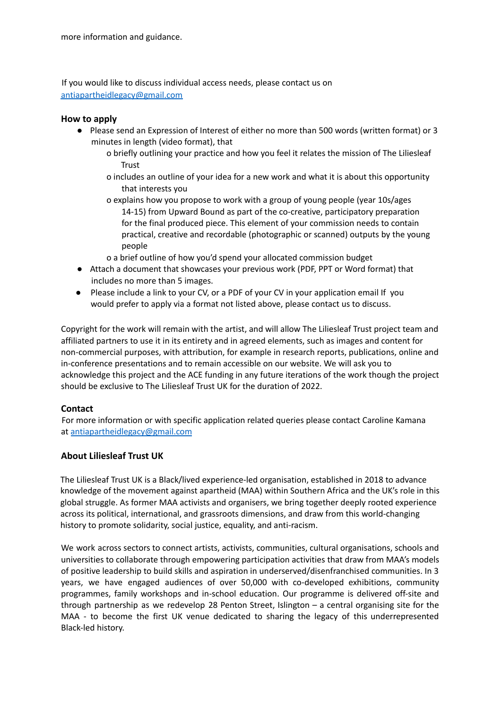If you would like to discuss individual access needs, please contact us on antiapartheidlegacy@gmail.com

## **How to apply**

- Please send an Expression of Interest of either no more than 500 words (written format) or 3 minutes in length (video format), that
	- o briefly outlining your practice and how you feel it relates the mission of The Liliesleaf **Trust**
	- o includes an outline of your idea for a new work and what it is about this opportunity that interests you
	- o explains how you propose to work with a group of young people (year 10s/ages 14-15) from Upward Bound as part of the co-creative, participatory preparation for the final produced piece. This element of your commission needs to contain practical, creative and recordable (photographic or scanned) outputs by the young people
	- o a brief outline of how you'd spend your allocated commission budget
- Attach a document that showcases your previous work (PDF, PPT or Word format) that includes no more than 5 images.
- Please include a link to your CV, or a PDF of your CV in your application email If you would prefer to apply via a format not listed above, please contact us to discuss.

Copyright for the work will remain with the artist, and will allow The Liliesleaf Trust project team and affiliated partners to use it in its entirety and in agreed elements, such as images and content for non-commercial purposes, with attribution, for example in research reports, publications, online and in-conference presentations and to remain accessible on our website. We will ask you to acknowledge this project and the ACE funding in any future iterations of the work though the project should be exclusive to The Liliesleaf Trust UK for the duration of 2022.

## **Contact**

For more information or with specific application related queries please contact Caroline Kamana at antiapartheidlegacy@gmail.com

## **About Liliesleaf Trust UK**

The Liliesleaf Trust UK is a Black/lived experience-led organisation, established in 2018 to advance knowledge of the movement against apartheid (MAA) within Southern Africa and the UK's role in this global struggle. As former MAA activists and organisers, we bring together deeply rooted experience across its political, international, and grassroots dimensions, and draw from this world-changing history to promote solidarity, social justice, equality, and anti-racism.

We work across sectors to connect artists, activists, communities, cultural organisations, schools and universities to collaborate through empowering participation activities that draw from MAA's models of positive leadership to build skills and aspiration in underserved/disenfranchised communities. In 3 years, we have engaged audiences of over 50,000 with co-developed exhibitions, community programmes, family workshops and in-school education. Our programme is delivered off-site and through partnership as we redevelop 28 Penton Street, Islington – a central organising site for the MAA - to become the first UK venue dedicated to sharing the legacy of this underrepresented Black-led history.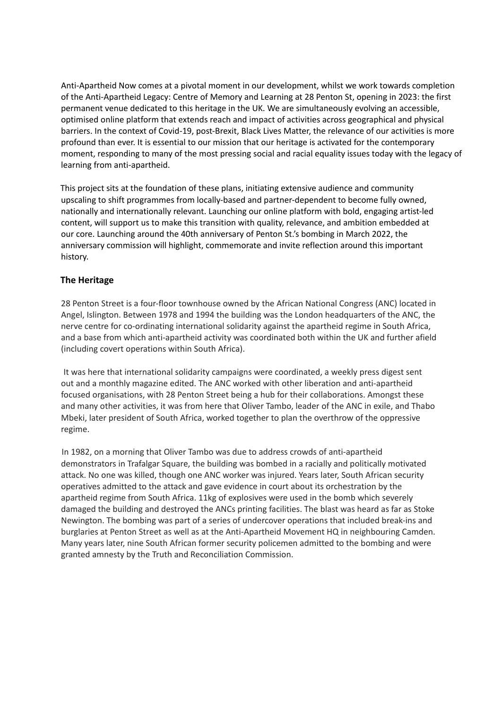Anti-Apartheid Now comes at a pivotal moment in our development, whilst we work towards completion of the Anti-Apartheid Legacy: Centre of Memory and Learning at 28 Penton St, opening in 2023: the first permanent venue dedicated to this heritage in the UK. We are simultaneously evolving an accessible, optimised online platform that extends reach and impact of activities across geographical and physical barriers. In the context of Covid-19, post-Brexit, Black Lives Matter, the relevance of our activities is more profound than ever. It is essential to our mission that our heritage is activated for the contemporary moment, responding to many of the most pressing social and racial equality issues today with the legacy of learning from anti-apartheid.

This project sits at the foundation of these plans, initiating extensive audience and community upscaling to shift programmes from locally-based and partner-dependent to become fully owned, nationally and internationally relevant. Launching our online platform with bold, engaging artist-led content, will support us to make this transition with quality, relevance, and ambition embedded at our core. Launching around the 40th anniversary of Penton St.'s bombing in March 2022, the anniversary commission will highlight, commemorate and invite reflection around this important history.

## **The Heritage**

28 Penton Street is a four-floor townhouse owned by the African National Congress (ANC) located in Angel, Islington. Between 1978 and 1994 the building was the London headquarters of the ANC, the nerve centre for co-ordinating international solidarity against the apartheid regime in South Africa, and a base from which anti-apartheid activity was coordinated both within the UK and further afield (including covert operations within South Africa).

It was here that international solidarity campaigns were coordinated, a weekly press digest sent out and a monthly magazine edited. The ANC worked with other liberation and anti-apartheid focused organisations, with 28 Penton Street being a hub for their collaborations. Amongst these and many other activities, it was from here that Oliver Tambo, leader of the ANC in exile, and Thabo Mbeki, later president of South Africa, worked together to plan the overthrow of the oppressive regime.

In 1982, on a morning that Oliver Tambo was due to address crowds of anti-apartheid demonstrators in Trafalgar Square, the building was bombed in a racially and politically motivated attack. No one was killed, though one ANC worker was injured. Years later, South African security operatives admitted to the attack and gave evidence in court about its orchestration by the apartheid regime from South Africa. 11kg of explosives were used in the bomb which severely damaged the building and destroyed the ANCs printing facilities. The blast was heard as far as Stoke Newington. The bombing was part of a series of undercover operations that included break-ins and burglaries at Penton Street as well as at the Anti-Apartheid Movement HQ in neighbouring Camden. Many years later, nine South African former security policemen admitted to the bombing and were granted amnesty by the Truth and Reconciliation Commission.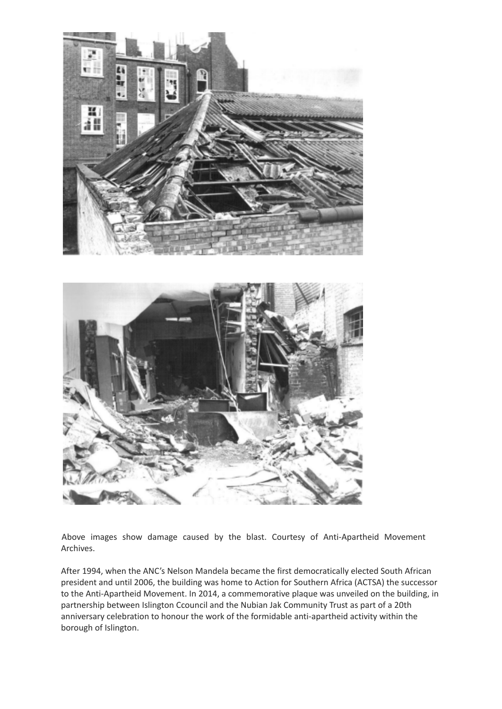



Above images show damage caused by the blast. Courtesy of Anti-Apartheid Movement Archives.

After 1994, when the ANC's Nelson Mandela became the first democratically elected South African president and until 2006, the building was home to Action for Southern Africa (ACTSA) the successor to the Anti-Apartheid Movement. In 2014, a commemorative plaque was unveiled on the building, in partnership between Islington Ccouncil and the Nubian Jak Community Trust as part of a 20th anniversary celebration to honour the work of the formidable anti-apartheid activity within the borough of Islington.